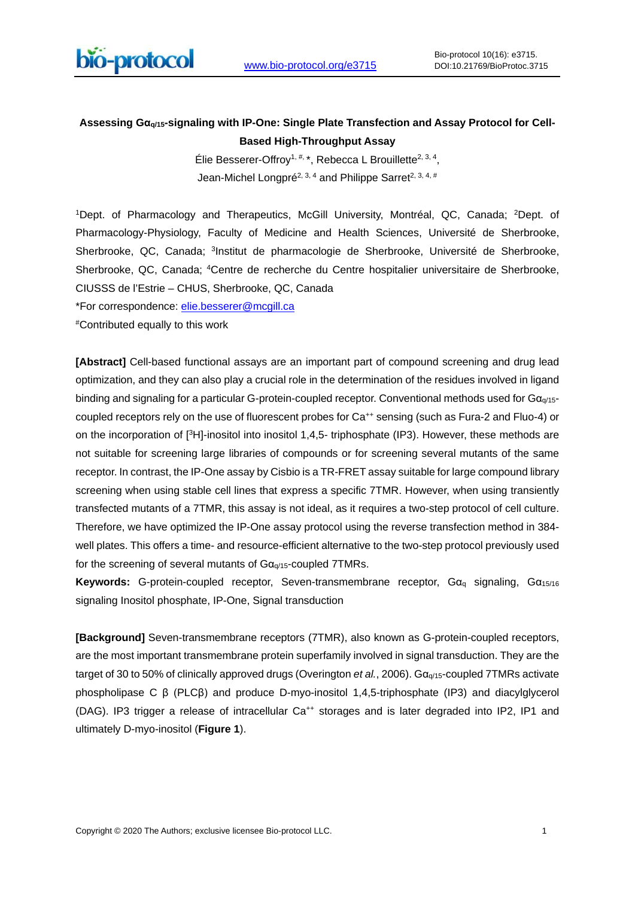

# **Assessing Gαq/15-signaling with IP-One: Single Plate Transfection and Assay Protocol for Cell-Based High-Throughput Assay**

Élie Besserer-Offrov<sup>1, #,\*</sup>, Rebecca L Brouillette<sup>2, 3, 4</sup>, Jean-Michel Longpré<sup>2, 3, 4</sup> and Philippe Sarret<sup>2, 3, 4, #</sup>

1Dept. of Pharmacology and Therapeutics, McGill University, Montréal, QC, Canada; 2Dept. of Pharmacology-Physiology, Faculty of Medicine and Health Sciences, Université de Sherbrooke, Sherbrooke, QC, Canada; <sup>3</sup>Institut de pharmacologie de Sherbrooke, Université de Sherbrooke, Sherbrooke, QC, Canada; 4Centre de recherche du Centre hospitalier universitaire de Sherbrooke, CIUSSS de l'Estrie – CHUS, Sherbrooke, QC, Canada

\*For correspondence: [elie.besserer@mcgill.ca](mailto:elie.besserer@mcgill.ca)

#Contributed equally to this work

**[Abstract]** Cell-based functional assays are an important part of compound screening and drug lead optimization, and they can also play a crucial role in the determination of the residues involved in ligand binding and signaling for a particular G-protein-coupled receptor. Conventional methods used for Gα<sub>q/15</sub>coupled receptors rely on the use of fluorescent probes for Ca<sup>++</sup> sensing (such as Fura-2 and Fluo-4) or on the incorporation of [3H]-inositol into inositol 1,4,5- triphosphate (IP3). However, these methods are not suitable for screening large libraries of compounds or for screening several mutants of the same receptor. In contrast, the IP-One assay by Cisbio is a TR-FRET assay suitable for large compound library screening when using stable cell lines that express a specific 7TMR. However, when using transiently transfected mutants of a 7TMR, this assay is not ideal, as it requires a two-step protocol of cell culture. Therefore, we have optimized the IP-One assay protocol using the reverse transfection method in 384 well plates. This offers a time- and resource-efficient alternative to the two-step protocol previously used for the screening of several mutants of Gαq/15-coupled 7TMRs.

**Keywords:** G-protein-coupled receptor, Seven-transmembrane receptor, Gα<sup>q</sup> signaling, Gα15/16 signaling Inositol phosphate, IP-One, Signal transduction

**[Background]** Seven-transmembrane receptors (7TMR), also known as G-protein-coupled receptors, are the most important transmembrane protein superfamily involved in signal transduction. They are the target of 30 to 50% of clinically approved drugs (Overington et al., 2006). Gα<sub>q/15</sub>-coupled 7TMRs activate phospholipase C β (PLCβ) and produce D-myo-inositol 1,4,5-triphosphate (IP3) and diacylglycerol (DAG). IP3 trigger a release of intracellular Ca<sup>++</sup> storages and is later degraded into IP2, IP1 and ultimately D-myo-inositol (**Figure 1**).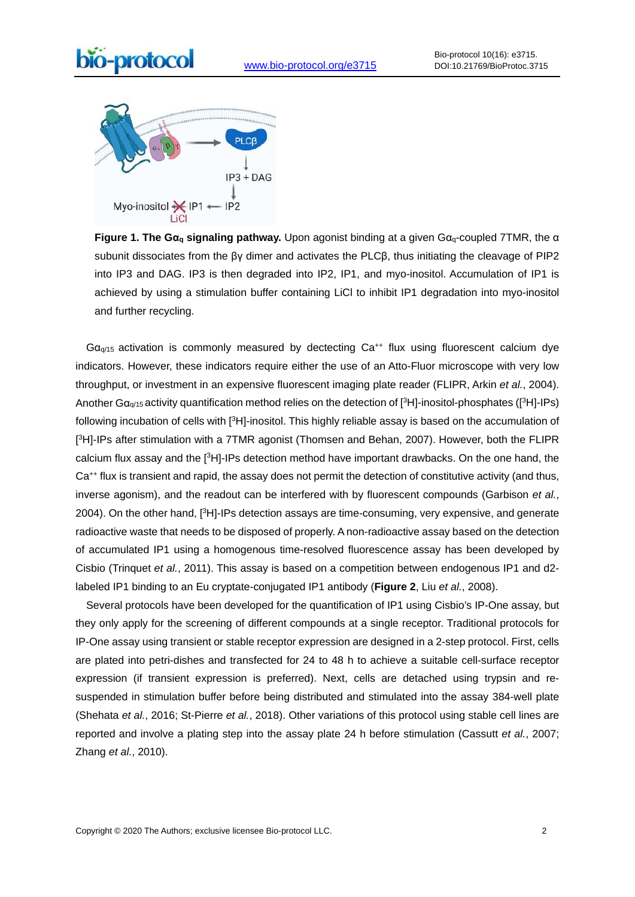



**Figure 1. The Gα<sup>q</sup> signaling pathway.** Upon agonist binding at a given Gαq-coupled 7TMR, the α subunit dissociates from the βγ dimer and activates the PLCβ, thus initiating the cleavage of PIP2 into IP3 and DAG. IP3 is then degraded into IP2, IP1, and myo-inositol. Accumulation of IP1 is achieved by using a stimulation buffer containing LiCl to inhibit IP1 degradation into myo-inositol and further recycling.

 $Ga_{q/15}$  activation is commonly measured by dectecting  $Ca^{++}$  flux using fluorescent calcium dye indicators. However, these indicators require either the use of an Atto-Fluor microscope with very low throughput, or investment in an expensive fluorescent imaging plate reader (FLIPR, Arkin et al., 2004). Another Gαq/15 activity quantification method relies on the detection of [3H]-inositol-phosphates ([3H]-IPs) following incubation of cells with [3H]-inositol. This highly reliable assay is based on the accumulation of [ 3H]-IPs after stimulation with a 7TMR agonist (Thomsen and Behan, 2007). However, both the FLIPR calcium flux assay and the [<sup>3</sup>H]-IPs detection method have important drawbacks. On the one hand, the Ca<sup>++</sup> flux is transient and rapid, the assay does not permit the detection of constitutive activity (and thus, inverse agonism), and the readout can be interfered with by fluorescent compounds (Garbison et al., 2004). On the other hand, [<sup>3</sup>H]-IPs detection assays are time-consuming, very expensive, and generate radioactive waste that needs to be disposed of properly. A non-radioactive assay based on the detection of accumulated IP1 using a homogenous time-resolved fluorescence assay has been developed by Cisbio (Trinquet et al., 2011). This assay is based on a competition between endogenous IP1 and d2labeled IP1 binding to an Eu cryptate-conjugated IP1 antibody (**Figure 2**, Liu et al., 2008).

 Several protocols have been developed for the quantification of IP1 using Cisbio's IP-One assay, but they only apply for the screening of different compounds at a single receptor. Traditional protocols for IP-One assay using transient or stable receptor expression are designed in a 2-step protocol. First, cells are plated into petri-dishes and transfected for 24 to 48 h to achieve a suitable cell-surface receptor expression (if transient expression is preferred). Next, cells are detached using trypsin and resuspended in stimulation buffer before being distributed and stimulated into the assay 384-well plate (Shehata et al., 2016; St-Pierre et al., 2018). Other variations of this protocol using stable cell lines are reported and involve a plating step into the assay plate 24 h before stimulation (Cassutt et al., 2007; Zhang et al., 2010).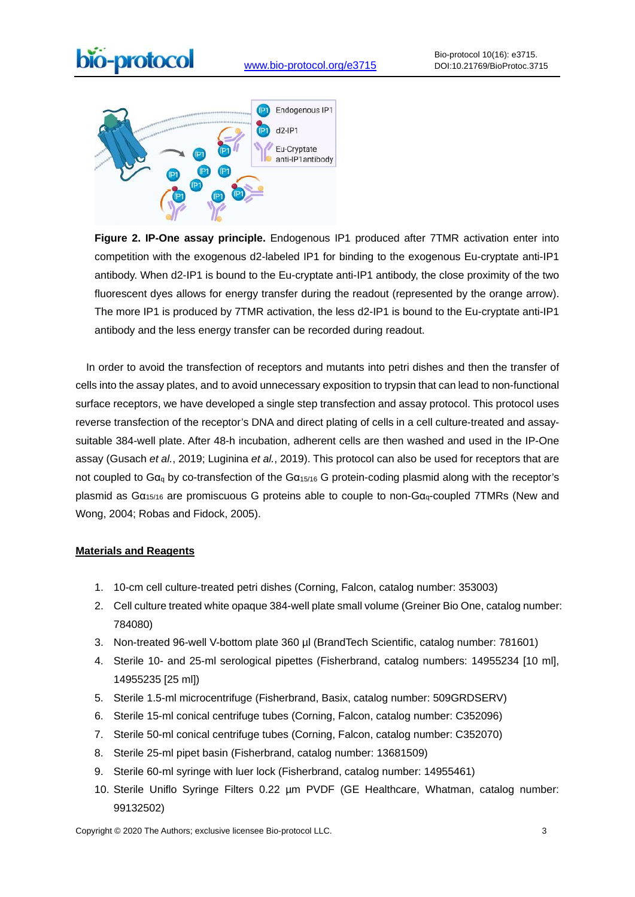



**Figure 2. IP-One assay principle.** Endogenous IP1 produced after 7TMR activation enter into competition with the exogenous d2-labeled IP1 for binding to the exogenous Eu-cryptate anti-IP1 antibody. When d2-IP1 is bound to the Eu-cryptate anti-IP1 antibody, the close proximity of the two fluorescent dyes allows for energy transfer during the readout (represented by the orange arrow). The more IP1 is produced by 7TMR activation, the less d2-IP1 is bound to the Eu-cryptate anti-IP1 antibody and the less energy transfer can be recorded during readout.

 In order to avoid the transfection of receptors and mutants into petri dishes and then the transfer of cells into the assay plates, and to avoid unnecessary exposition to trypsin that can lead to non-functional surface receptors, we have developed a single step transfection and assay protocol. This protocol uses reverse transfection of the receptor's DNA and direct plating of cells in a cell culture-treated and assaysuitable 384-well plate. After 48-h incubation, adherent cells are then washed and used in the IP-One assay (Gusach et al., 2019; Luginina et al., 2019). This protocol can also be used for receptors that are not coupled to  $Ga<sub>q</sub>$  by co-transfection of the  $Ga<sub>15/16</sub>$  G protein-coding plasmid along with the receptor's plasmid as  $Ga_{15/16}$  are promiscuous G proteins able to couple to non- $Ga_{q}$ -coupled 7TMRs (New and Wong, 2004; Robas and Fidock, 2005).

#### **Materials and Reagents**

- 1. 10-cm cell culture-treated petri dishes (Corning, Falcon, catalog number: 353003)
- 2. Cell culture treated white opaque 384-well plate small volume (Greiner Bio One, catalog number: 784080)
- 3. Non-treated 96-well V-bottom plate 360 µl (BrandTech Scientific, catalog number: 781601)
- 4. Sterile 10- and 25-ml serological pipettes (Fisherbrand, catalog numbers: 14955234 [10 ml], 14955235 [25 ml])
- 5. Sterile 1.5-ml microcentrifuge (Fisherbrand, Basix, catalog number: 509GRDSERV)
- 6. Sterile 15-ml conical centrifuge tubes (Corning, Falcon, catalog number: C352096)
- 7. Sterile 50-ml conical centrifuge tubes (Corning, Falcon, catalog number: C352070)
- 8. Sterile 25-ml pipet basin (Fisherbrand, catalog number: 13681509)
- 9. Sterile 60-ml syringe with luer lock (Fisherbrand, catalog number: 14955461)
- 10. Sterile Uniflo Syringe Filters 0.22 µm PVDF (GE Healthcare, Whatman, catalog number: 99132502)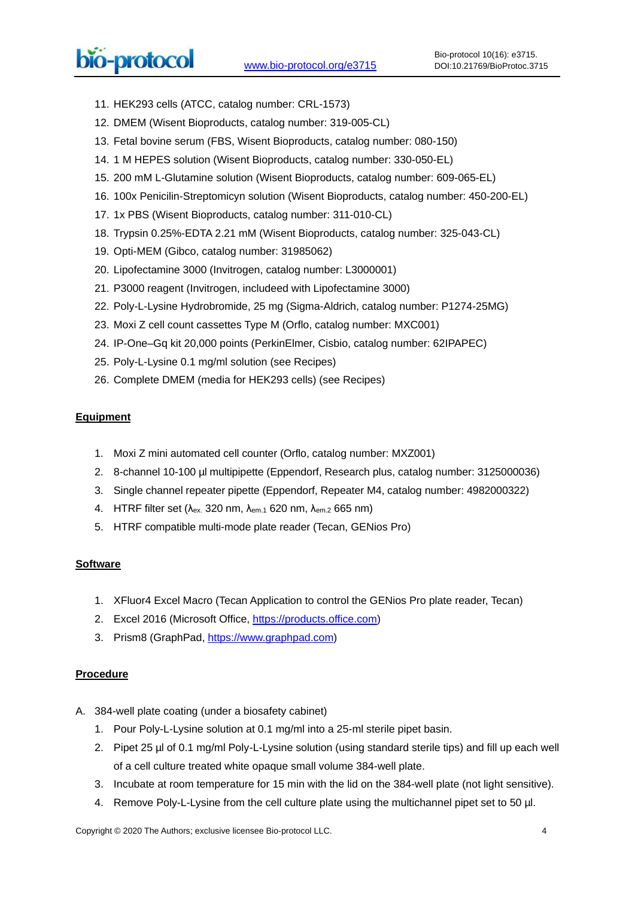11. HEK293 cells (ATCC, catalog number: CRL-1573)

 $\overline{a}$ 

- 12. DMEM (Wisent Bioproducts, catalog number: 319-005-CL)
- 13. Fetal bovine serum (FBS, Wisent Bioproducts, catalog number: 080-150)
- 14. 1 M HEPES solution (Wisent Bioproducts, catalog number: 330-050-EL)
- 15. 200 mM L-Glutamine solution (Wisent Bioproducts, catalog number: 609-065-EL)
- 16. 100x Penicilin-Streptomicyn solution (Wisent Bioproducts, catalog number: 450-200-EL)
- 17. 1x PBS (Wisent Bioproducts, catalog number: 311-010-CL)
- 18. Trypsin 0.25%-EDTA 2.21 mM (Wisent Bioproducts, catalog number: 325-043-CL)
- 19. Opti-MEM (Gibco, catalog number: 31985062)
- 20. Lipofectamine 3000 (Invitrogen, catalog number: L3000001)
- 21. P3000 reagent (Invitrogen, includeed with Lipofectamine 3000)
- 22. Poly-L-Lysine Hydrobromide, 25 mg (Sigma-Aldrich, catalog number: P1274-25MG)
- 23. Moxi Z cell count cassettes Type M (Orflo, catalog number: MXC001)
- 24. IP-One–Gq kit 20,000 points (PerkinElmer, Cisbio, catalog number: 62IPAPEC)
- 25. Poly-L-Lysine 0.1 mg/ml solution (see Recipes)
- 26. Complete DMEM (media for HEK293 cells) (see Recipes)

## **Equipment**

- 1. Moxi Z mini automated cell counter (Orflo, catalog number: MXZ001)
- 2. 8-channel 10-100 µl multipipette (Eppendorf, Research plus, catalog number: 3125000036)
- 3. Single channel repeater pipette (Eppendorf, Repeater M4, catalog number: 4982000322)
- 4. HTRF filter set (λex. 320 nm, λem.1 620 nm, λem.2 665 nm)
- 5. HTRF compatible multi-mode plate reader (Tecan, GENios Pro)

#### **Software**

- 1. XFluor4 Excel Macro (Tecan Application to control the GENios Pro plate reader, Tecan)
- 2. Excel 2016 (Microsoft Office, [https://products.office.com\)](https://products.office.com/)
- 3. Prism8 (GraphPad, [https://www.graphpad.com\)](https://www.graphpad.com/)

#### **Procedure**

- A. 384-well plate coating (under a biosafety cabinet)
	- 1. Pour Poly-L-Lysine solution at 0.1 mg/ml into a 25-ml sterile pipet basin.
	- 2. Pipet 25 µl of 0.1 mg/ml Poly-L-Lysine solution (using standard sterile tips) and fill up each well of a cell culture treated white opaque small volume 384-well plate.
	- 3. Incubate at room temperature for 15 min with the lid on the 384-well plate (not light sensitive).
	- 4. Remove Poly-L-Lysine from the cell culture plate using the multichannel pipet set to 50 µl.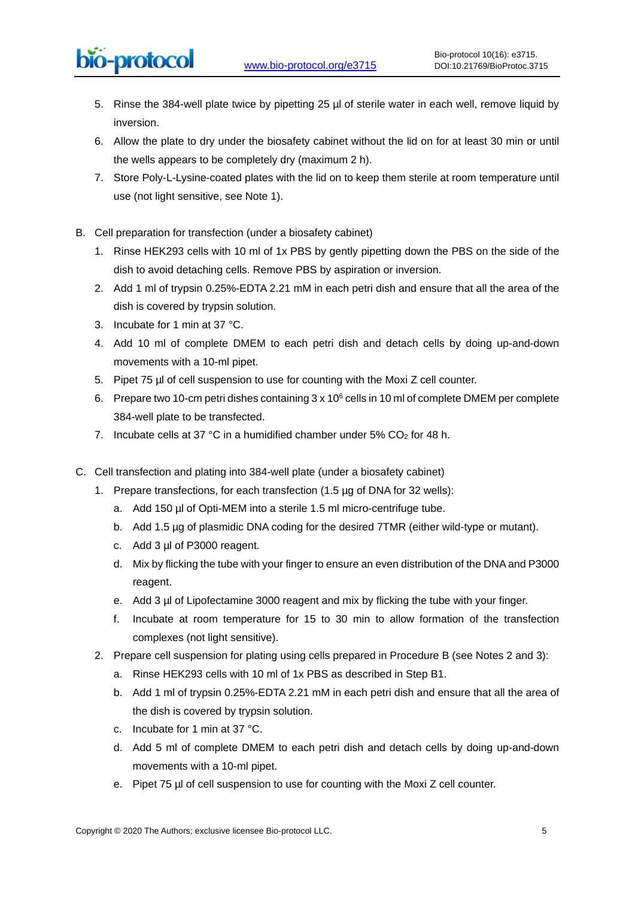- 5. Rinse the 384-well plate twice by pipetting 25 µl of sterile water in each well, remove liquid by inversion.
- 6. Allow the plate to dry under the biosafety cabinet without the lid on for at least 30 min or until the wells appears to be completely dry (maximum 2 h).
- 7. Store Poly-L-Lysine-coated plates with the lid on to keep them sterile at room temperature until use (not light sensitive, see Note 1).
- B. Cell preparation for transfection (under a biosafety cabinet)

bio-protocol

- 1. Rinse HEK293 cells with 10 ml of 1x PBS by gently pipetting down the PBS on the side of the dish to avoid detaching cells. Remove PBS by aspiration or inversion.
- 2. Add 1 ml of trypsin 0.25%-EDTA 2.21 mM in each petri dish and ensure that all the area of the dish is covered by trypsin solution.
- 3. Incubate for 1 min at 37 °C.
- 4. Add 10 ml of complete DMEM to each petri dish and detach cells by doing up-and-down movements with a 10-ml pipet.
- 5. Pipet 75 µl of cell suspension to use for counting with the Moxi Z cell counter.
- 6. Prepare two 10-cm petri dishes containing 3 x 10<sup>6</sup> cells in 10 ml of complete DMEM per complete 384-well plate to be transfected.
- 7. Incubate cells at 37 °C in a humidified chamber under  $5\%$  CO<sub>2</sub> for 48 h.
- C. Cell transfection and plating into 384-well plate (under a biosafety cabinet)
	- 1. Prepare transfections, for each transfection  $(1.5 \mu g)$  of DNA for 32 wells):
		- a. Add 150 µl of Opti-MEM into a sterile 1.5 ml micro-centrifuge tube.
		- b. Add 1.5 µg of plasmidic DNA coding for the desired 7TMR (either wild-type or mutant).
		- c. Add 3 µl of P3000 reagent.
		- d. Mix by flicking the tube with your finger to ensure an even distribution of the DNA and P3000 reagent.
		- e. Add 3 µl of Lipofectamine 3000 reagent and mix by flicking the tube with your finger.
		- f. Incubate at room temperature for 15 to 30 min to allow formation of the transfection complexes (not light sensitive).
	- 2. Prepare cell suspension for plating using cells prepared in Procedure B (see Notes 2 and 3):
		- a. Rinse HEK293 cells with 10 ml of 1x PBS as described in Step B1.
		- b. Add 1 ml of trypsin 0.25%-EDTA 2.21 mM in each petri dish and ensure that all the area of the dish is covered by trypsin solution.
		- c. Incubate for 1 min at 37 °C.
		- d. Add 5 ml of complete DMEM to each petri dish and detach cells by doing up-and-down movements with a 10-ml pipet.
		- e. Pipet 75 µl of cell suspension to use for counting with the Moxi Z cell counter.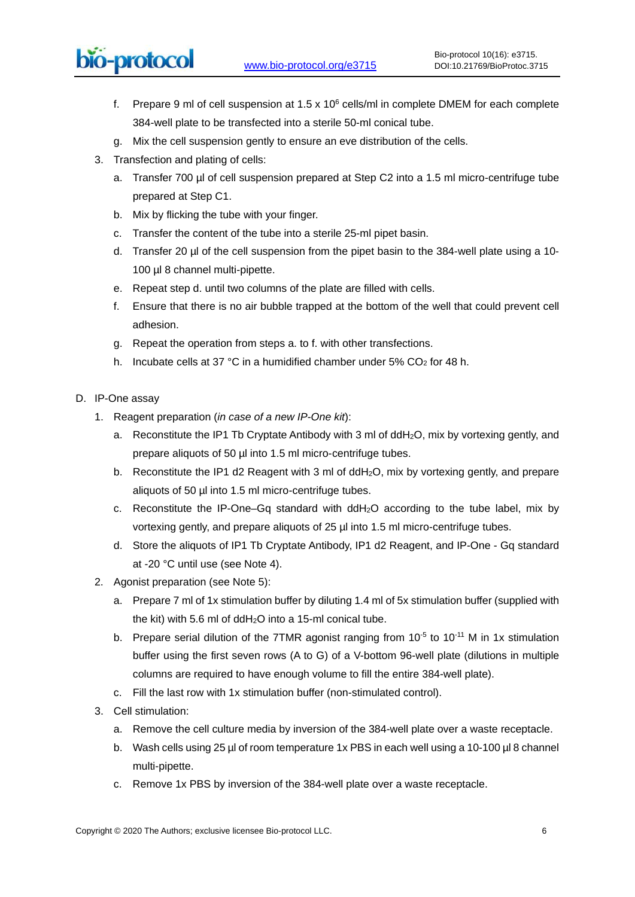# bio-protocol

- f. Prepare 9 ml of cell suspension at  $1.5 \times 10^6$  cells/ml in complete DMEM for each complete 384-well plate to be transfected into a sterile 50-ml conical tube.
- g. Mix the cell suspension gently to ensure an eve distribution of the cells.
- 3. Transfection and plating of cells:

 $\overline{a}$ 

- a. Transfer 700 µl of cell suspension prepared at Step C2 into a 1.5 ml micro-centrifuge tube prepared at Step C1.
- b. Mix by flicking the tube with your finger.
- c. Transfer the content of the tube into a sterile 25-ml pipet basin.
- d. Transfer 20 µl of the cell suspension from the pipet basin to the 384-well plate using a 10-100 µl 8 channel multi-pipette.
- e. Repeat step d. until two columns of the plate are filled with cells.
- f. Ensure that there is no air bubble trapped at the bottom of the well that could prevent cell adhesion.
- g. Repeat the operation from steps a. to f. with other transfections.
- h. Incubate cells at 37 °C in a humidified chamber under 5% CO<sub>2</sub> for 48 h.

## D. IP-One assay

- 1. Reagent preparation (in case of a new IP-One kit):
	- a. Reconstitute the IP1 Tb Cryptate Antibody with 3 ml of ddH2O, mix by vortexing gently, and prepare aliquots of 50 µl into 1.5 ml micro-centrifuge tubes.
	- b. Reconstitute the IP1 d2 Reagent with 3 ml of ddH<sub>2</sub>O, mix by vortexing gently, and prepare aliquots of 50 µl into 1.5 ml micro-centrifuge tubes.
	- c. Reconstitute the IP-One–Gq standard with ddH2O according to the tube label, mix by vortexing gently, and prepare aliquots of 25 µl into 1.5 ml micro-centrifuge tubes.
	- d. Store the aliquots of IP1 Tb Cryptate Antibody, IP1 d2 Reagent, and IP-One Gq standard at -20 °C until use (see Note 4).
- 2. Agonist preparation (see Note 5):
	- a. Prepare 7 ml of 1x stimulation buffer by diluting 1.4 ml of 5x stimulation buffer (supplied with the kit) with 5.6 ml of ddH2O into a 15-ml conical tube.
	- b. Prepare serial dilution of the 7TMR agonist ranging from  $10^{-5}$  to  $10^{-11}$  M in 1x stimulation buffer using the first seven rows (A to G) of a V-bottom 96-well plate (dilutions in multiple columns are required to have enough volume to fill the entire 384-well plate).
	- c. Fill the last row with 1x stimulation buffer (non-stimulated control).
- 3. Cell stimulation:
	- a. Remove the cell culture media by inversion of the 384-well plate over a waste receptacle.
	- b. Wash cells using 25 µl of room temperature 1x PBS in each well using a 10-100 µl 8 channel multi-pipette.
	- c. Remove 1x PBS by inversion of the 384-well plate over a waste receptacle.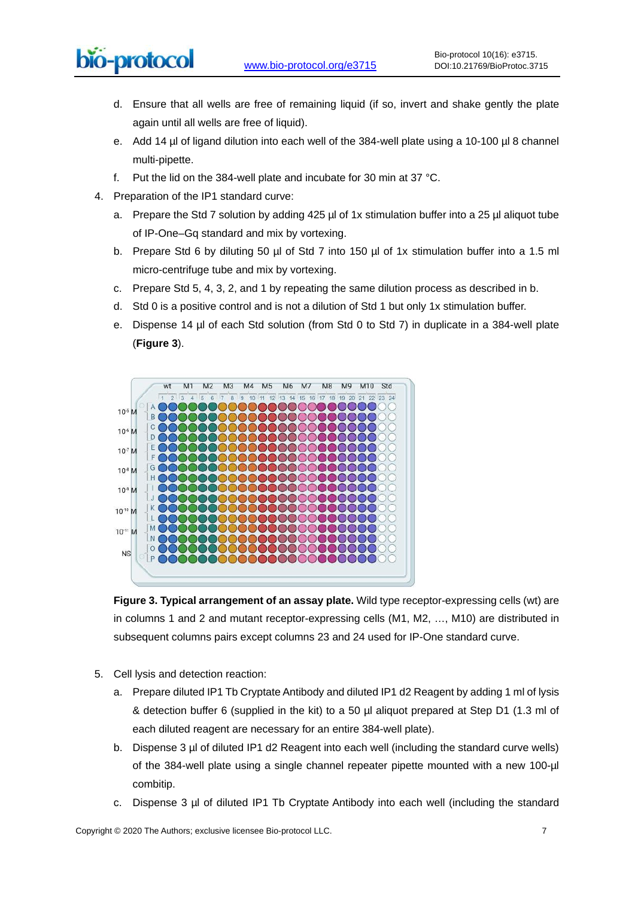# bio-protocol

- d. Ensure that all wells are free of remaining liquid (if so, invert and shake gently the plate again until all wells are free of liquid).
- e. Add 14 µl of ligand dilution into each well of the 384-well plate using a 10-100 µl 8 channel multi-pipette.
- f. Put the lid on the 384-well plate and incubate for 30 min at 37 °C.
- 4. Preparation of the IP1 standard curve:

 $\overline{a}$ 

- a. Prepare the Std 7 solution by adding 425 µl of 1x stimulation buffer into a 25 µl aliquot tube of IP-One–Gq standard and mix by vortexing.
- b. Prepare Std 6 by diluting 50 µl of Std 7 into 150 µl of 1x stimulation buffer into a 1.5 ml micro-centrifuge tube and mix by vortexing.
- c. Prepare Std 5, 4, 3, 2, and 1 by repeating the same dilution process as described in b.
- d. Std 0 is a positive control and is not a dilution of Std 1 but only 1x stimulation buffer.
- e. Dispense 14 µl of each Std solution (from Std 0 to Std 7) in duplicate in a 384-well plate (**Figure 3**).



**Figure 3. Typical arrangement of an assay plate.** Wild type receptor-expressing cells (wt) are in columns 1 and 2 and mutant receptor-expressing cells (M1, M2, …, M10) are distributed in subsequent columns pairs except columns 23 and 24 used for IP-One standard curve.

- 5. Cell lysis and detection reaction:
	- a. Prepare diluted IP1 Tb Cryptate Antibody and diluted IP1 d2 Reagent by adding 1 ml of lysis & detection buffer 6 (supplied in the kit) to a 50 µl aliquot prepared at Step D1 (1.3 ml of each diluted reagent are necessary for an entire 384-well plate).
	- b. Dispense 3 µl of diluted IP1 d2 Reagent into each well (including the standard curve wells) of the 384-well plate using a single channel repeater pipette mounted with a new 100-µl combitip.
	- c. Dispense 3 µl of diluted IP1 Tb Cryptate Antibody into each well (including the standard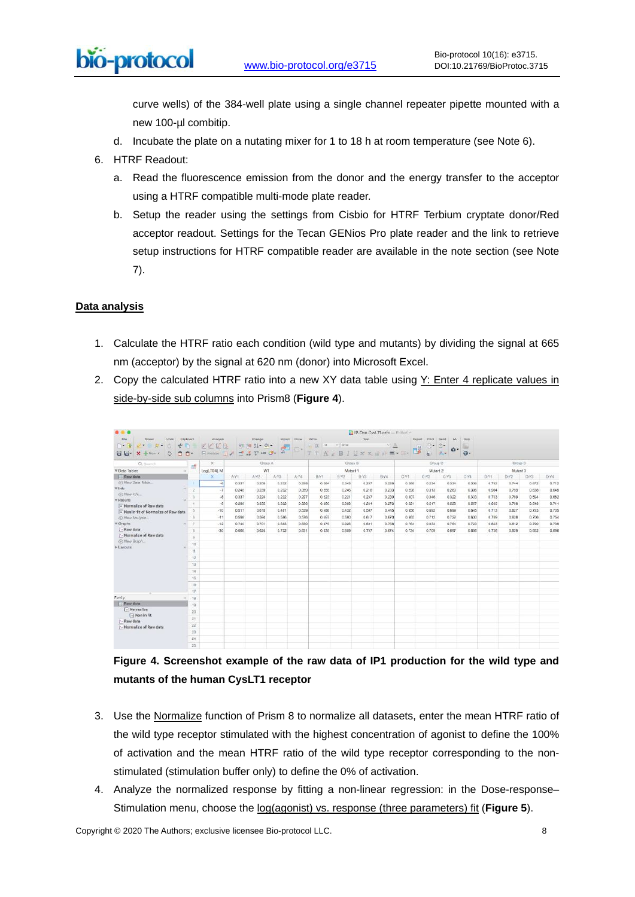curve wells) of the 384-well plate using a single channel repeater pipette mounted with a new 100-µl combitip.

- d. Incubate the plate on a nutating mixer for 1 to 18 h at room temperature (see Note 6).
- 6. HTRF Readout:
	- a. Read the fluorescence emission from the donor and the energy transfer to the acceptor using a HTRF compatible multi-mode plate reader.
	- b. Setup the reader using the settings from Cisbio for HTRF Terbium cryptate donor/Red acceptor readout. Settings for the Tecan GENios Pro plate reader and the link to retrieve setup instructions for HTRF compatible reader are available in the note section (see Note 7).

## **Data analysis**

- 1. Calculate the HTRF ratio each condition (wild type and mutants) by dividing the signal at 665 nm (acceptor) by the signal at 620 nm (donor) into Microsoft Excel.
- 2. Copy the calculated HTRF ratio into a new XY data table using Y: Enter 4 replicate values in side-by-side sub columns into Prism8 (**Figure 4**).

|                                                                                                                                            |                  |                                                                                                                 |       |       |       |         |                                                                                                                                                                                            | IP-One CysLTI.pzfx - Edited |       |         |          |                                         |                          |                                |           |       |       |       |  |  |
|--------------------------------------------------------------------------------------------------------------------------------------------|------------------|-----------------------------------------------------------------------------------------------------------------|-------|-------|-------|---------|--------------------------------------------------------------------------------------------------------------------------------------------------------------------------------------------|-----------------------------|-------|---------|----------|-----------------------------------------|--------------------------|--------------------------------|-----------|-------|-------|-------|--|--|
| File<br><b>Street</b><br>Clipboard<br>Unde<br>晒<br>$\frac{1}{2}$<br>$2 - 2 - 0$<br>÷<br>$+$<br>日日-<br>向<br>n-<br>G<br>$X + Now$            |                  | Analysis<br>Change<br>Import Draw<br>VVVR<br>动动 打一个。<br>d.<br>$\square$<br>一書字如<br>E Analyze   A<br><b>ALC:</b> |       |       |       |         | Writing<br>Tapez<br>$\leq h$<br>$10-$<br>$=$ $\sqrt{2}$<br>$L$ $\Omega$<br>$\mathbb{U}\times\mathbb{R}\otimes\mathbb{R}\cong\mathbb{Z}\times\mathbb{R}^2\otimes\mathbb{R}^2$<br>B:<br>TTAS |                             |       |         |          | Dixport.<br>Print Send<br>di line<br>e. | 180<br>Ů-<br>G-<br>$\pi$ | <b>Huiz</b><br>×<br>$\Omega$ - |           |       |       |       |  |  |
| Q. Search<br>出                                                                                                                             |                  | $\mathcal K$<br>Group A                                                                                         |       |       |       | Group B |                                                                                                                                                                                            |                             |       | Group C |          |                                         |                          | Group D                        |           |       |       |       |  |  |
| <b>V</b> Data Tables<br>$^{196}$                                                                                                           |                  | Log(LTD4), M                                                                                                    | WT    |       |       |         | Mutant 1                                                                                                                                                                                   |                             |       |         | Mutant 2 |                                         |                          |                                | Mutant 3  |       |       |       |  |  |
| <b>Rawdata</b>                                                                                                                             |                  | x                                                                                                               | A-Y1  | A:Y2  | A:Y3  | A.44    | B-V1                                                                                                                                                                                       | B:Y2                        | B/Y3  | B:Y6    | C-Yt     | C:Y2                                    | C-YS                     | CWA                            | $D - Y$ 1 | D:Y2  | D:Y3  | D/M   |  |  |
| (-) New Data Table<br>$\Psi$ Info<br>(-) New Info<br><b>W. Results</b><br>a Normalize of Raw data<br>- Nonlin fit of Normalize of Raw data |                  | J.                                                                                                              | 0.337 | 0.208 | 0.232 | 0.298   | 0.264                                                                                                                                                                                      | 0.343                       | 0.207 | 0.228   | 0.268    | 0.234                                   | 0.334                    | 0.336                          | 0.762     | 0.744 | 0.672 | 0.712 |  |  |
|                                                                                                                                            | w<br>2           | $-7$                                                                                                            | 0.240 | 0.239 | 0.232 | 0.359   | 0.255                                                                                                                                                                                      | 0.245                       | 0.218 | 0.233   | 0.298    | 0.313                                   | 0.289                    | 0.306                          | 0.964     | 0.759 | 0.638 | 0.645 |  |  |
|                                                                                                                                            | 3                | 48                                                                                                              | 0.337 | 0.224 | 0.222 | 0.297   | 0.223                                                                                                                                                                                      | 0.221                       | 0.237 | 0.230   | 0.307    | 0.348                                   | 0.322                    | 0.333                          | 0.703     | 0.789 | 0.594 | 0.662 |  |  |
|                                                                                                                                            | a.               | A                                                                                                               | 0.288 | 0.335 | 0.322 | 0.326   | 0.260                                                                                                                                                                                      | 0.308                       | 0.264 | 0.272   | 0.521    | 0.517                                   | 0.529                    | 0.667                          | 0.605     | 0.788 | 0.648 | 0.714 |  |  |
|                                                                                                                                            | Б                | $-10$                                                                                                           | 0.517 | 0.610 | 0.481 | 0.539   | 0.458                                                                                                                                                                                      | 0.432                       | 0.087 | 0.445   | 0.656    | 0.692                                   | 0.699                    | 0.645                          | 0.713     | 0.027 | 0.723 | 0.705 |  |  |
| (F) New Analysis                                                                                                                           | 8                | $-11$                                                                                                           | 0.698 | 0.564 | 0.588 | 0.576   | 0.497                                                                                                                                                                                      | 0.590                       | 0.817 | 0.670   | 0.665    | 0.712                                   | 0.722                    | 0.630                          | 0.769     | 0.828 | 0.706 | 0.754 |  |  |
| $\overline{\mathbf{v}}$ Graphs<br><b>Raw data</b><br>Mormalize of Raw data<br>(-) New Graph.                                               | $\tau$<br>$36 -$ | $-12$                                                                                                           | 0.740 | 0.701 | 0.683 | 0.630   | 0.675                                                                                                                                                                                      | 0.926                       | 0.691 | 0.758   | 0.764    | 0.934                                   | 0.764                    | 0.723                          | 0.823     | 0.812 | 0.790 | 0.739 |  |  |
|                                                                                                                                            | n                | $-30$                                                                                                           | 0.055 | 0.624 | 0.722 | 0.631   | 0.535                                                                                                                                                                                      | 0.609                       | 0.707 | 0.674   | 0.734    | 0.709                                   | 0.697                    | 0.556                          | 0.736     | 0.829 | 0.662 | 0.096 |  |  |
|                                                                                                                                            |                  |                                                                                                                 |       |       |       |         |                                                                                                                                                                                            |                             |       |         |          |                                         |                          |                                |           |       |       |       |  |  |
|                                                                                                                                            | < 0              |                                                                                                                 |       |       |       |         |                                                                                                                                                                                            |                             |       |         |          |                                         |                          |                                |           |       |       |       |  |  |
| I- Layouts                                                                                                                                 | $^{\dagger}$     |                                                                                                                 |       |       |       |         |                                                                                                                                                                                            |                             |       |         |          |                                         |                          |                                |           |       |       |       |  |  |
|                                                                                                                                            | 12               |                                                                                                                 |       |       |       |         |                                                                                                                                                                                            |                             |       |         |          |                                         |                          |                                |           |       |       |       |  |  |
|                                                                                                                                            | $-13$            |                                                                                                                 |       |       |       |         |                                                                                                                                                                                            |                             |       |         |          |                                         |                          |                                |           |       |       |       |  |  |
|                                                                                                                                            |                  |                                                                                                                 |       |       |       |         |                                                                                                                                                                                            |                             |       |         |          |                                         |                          |                                |           |       |       |       |  |  |
|                                                                                                                                            | 14               |                                                                                                                 |       |       |       |         |                                                                                                                                                                                            |                             |       |         |          |                                         |                          |                                |           |       |       |       |  |  |
|                                                                                                                                            | 15               |                                                                                                                 |       |       |       |         |                                                                                                                                                                                            |                             |       |         |          |                                         |                          |                                |           |       |       |       |  |  |
|                                                                                                                                            | 35               |                                                                                                                 |       |       |       |         |                                                                                                                                                                                            |                             |       |         |          |                                         |                          |                                |           |       |       |       |  |  |
|                                                                                                                                            | 52               |                                                                                                                 |       |       |       |         |                                                                                                                                                                                            |                             |       |         |          |                                         |                          |                                |           |       |       |       |  |  |
| Family.<br>DEC.<br><b>TT Row data</b>                                                                                                      | 18               |                                                                                                                 |       |       |       |         |                                                                                                                                                                                            |                             |       |         |          |                                         |                          |                                |           |       |       |       |  |  |
| $\sqrt{n}$ Normalize                                                                                                                       | $+9$             |                                                                                                                 |       |       |       |         |                                                                                                                                                                                            |                             |       |         |          |                                         |                          |                                |           |       |       |       |  |  |
| $\boxed{\lnot}$ Nonlin fit<br><b>P-Raw data</b><br>>>Normalize of Raw data                                                                 | 20               |                                                                                                                 |       |       |       |         |                                                                                                                                                                                            |                             |       |         |          |                                         |                          |                                |           |       |       |       |  |  |
|                                                                                                                                            | 21               |                                                                                                                 |       |       |       |         |                                                                                                                                                                                            |                             |       |         |          |                                         |                          |                                |           |       |       |       |  |  |
|                                                                                                                                            | 22               |                                                                                                                 |       |       |       |         |                                                                                                                                                                                            |                             |       |         |          |                                         |                          |                                |           |       |       |       |  |  |
|                                                                                                                                            | 23 <sub>1</sub>  |                                                                                                                 |       |       |       |         |                                                                                                                                                                                            |                             |       |         |          |                                         |                          |                                |           |       |       |       |  |  |
|                                                                                                                                            | 24               |                                                                                                                 |       |       |       |         |                                                                                                                                                                                            |                             |       |         |          |                                         |                          |                                |           |       |       |       |  |  |
|                                                                                                                                            | 201              |                                                                                                                 |       |       |       |         |                                                                                                                                                                                            |                             |       |         |          |                                         |                          |                                |           |       |       |       |  |  |

# **Figure 4. Screenshot example of the raw data of IP1 production for the wild type and mutants of the human CysLT1 receptor**

- 3. Use the Normalize function of Prism 8 to normalize all datasets, enter the mean HTRF ratio of the wild type receptor stimulated with the highest concentration of agonist to define the 100% of activation and the mean HTRF ratio of the wild type receptor corresponding to the nonstimulated (stimulation buffer only) to define the 0% of activation.
- 4. Analyze the normalized response by fitting a non-linear regression: in the Dose-response– Stimulation menu, choose the log(agonist) vs. response (three parameters) fit (**Figure 5**).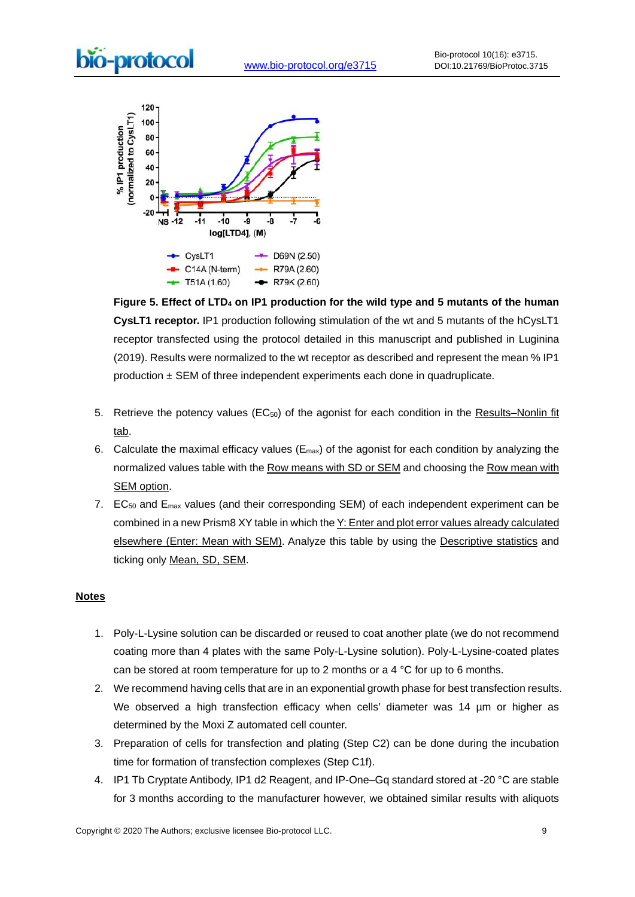

**Figure 5. Effect of LTD4 on IP1 production for the wild type and 5 mutants of the human CysLT1 receptor.** IP1 production following stimulation of the wt and 5 mutants of the hCysLT1 receptor transfected using the protocol detailed in this manuscript and published in Luginina (2019). Results were normalized to the wt receptor as described and represent the mean % IP1 production  $\pm$  SEM of three independent experiments each done in quadruplicate.

- 5. Retrieve the potency values (EC<sub>50</sub>) of the agonist for each condition in the Results–Nonlin fit tab.
- 6. Calculate the maximal efficacy values ( $E_{\text{max}}$ ) of the agonist for each condition by analyzing the normalized values table with the Row means with SD or SEM and choosing the Row mean with SEM option.
- 7. EC<sub>50</sub> and E<sub>max</sub> values (and their corresponding SEM) of each independent experiment can be combined in a new Prism8 XY table in which the Y: Enter and plot error values already calculated elsewhere (Enter: Mean with SEM). Analyze this table by using the Descriptive statistics and ticking only Mean, SD, SEM.

#### **Notes**

- 1. Poly-L-Lysine solution can be discarded or reused to coat another plate (we do not recommend coating more than 4 plates with the same Poly-L-Lysine solution). Poly-L-Lysine-coated plates can be stored at room temperature for up to 2 months or a 4 °C for up to 6 months.
- 2. We recommend having cells that are in an exponential growth phase for best transfection results. We observed a high transfection efficacy when cells' diameter was 14 µm or higher as determined by the Moxi Z automated cell counter.
- 3. Preparation of cells for transfection and plating (Step C2) can be done during the incubation time for formation of transfection complexes (Step C1f).
- 4. IP1 Tb Cryptate Antibody, IP1 d2 Reagent, and IP-One–Gq standard stored at -20 °C are stable for 3 months according to the manufacturer however, we obtained similar results with aliquots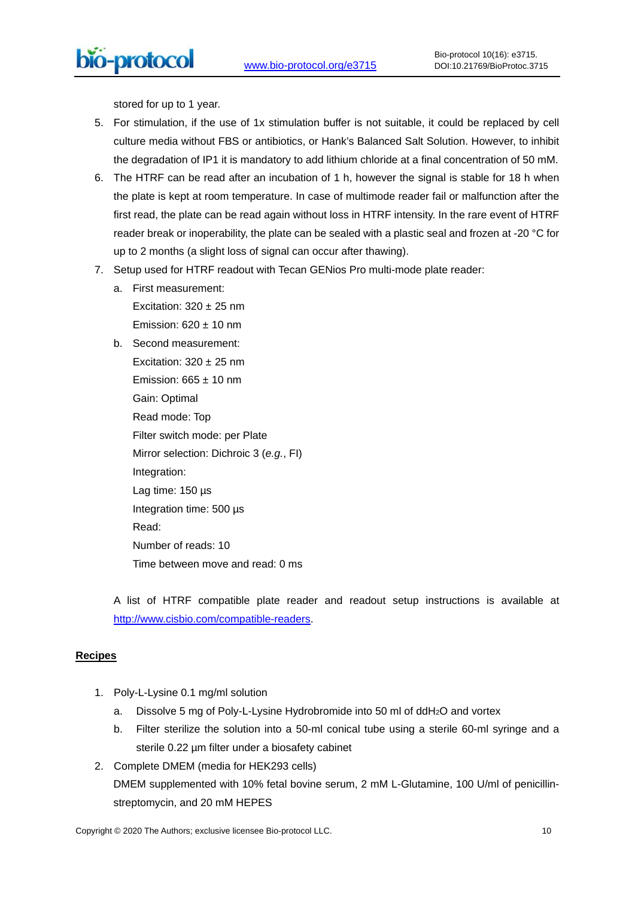bio-protocol

stored for up to 1 year.

 $\overline{a}$ 

- 5. For stimulation, if the use of 1x stimulation buffer is not suitable, it could be replaced by cell culture media without FBS or antibiotics, or Hank's Balanced Salt Solution. However, to inhibit the degradation of IP1 it is mandatory to add lithium chloride at a final concentration of 50 mM.
- 6. The HTRF can be read after an incubation of 1 h, however the signal is stable for 18 h when the plate is kept at room temperature. In case of multimode reader fail or malfunction after the first read, the plate can be read again without loss in HTRF intensity. In the rare event of HTRF reader break or inoperability, the plate can be sealed with a plastic seal and frozen at -20 °C for up to 2 months (a slight loss of signal can occur after thawing).
- 7. Setup used for HTRF readout with Tecan GENios Pro multi-mode plate reader:
	- a. First measurement:

Excitation:  $320 \pm 25$  nm Emission:  $620 \pm 10$  nm

b. Second measurement: Excitation:  $320 \pm 25$  nm

Emission:  $665 \pm 10$  nm Gain: Optimal Read mode: Top Filter switch mode: per Plate Mirror selection: Dichroic 3 (e.g., FI) Integration: Lag time: 150 µs Integration time: 500 µs Read: Number of reads: 10 Time between move and read: 0 ms

A list of HTRF compatible plate reader and readout setup instructions is available at [http://www.cisbio.com/compatible-readers.](http://www.cisbio.com/compatible-readers)

# **Recipes**

- 1. Poly-L-Lysine 0.1 mg/ml solution
	- a. Dissolve 5 mg of Poly-L-Lysine Hydrobromide into 50 ml of ddH<sub>2</sub>O and vortex
	- b. Filter sterilize the solution into a 50-ml conical tube using a sterile 60-ml syringe and a sterile 0.22 µm filter under a biosafety cabinet
- 2. Complete DMEM (media for HEK293 cells) DMEM supplemented with 10% fetal bovine serum, 2 mM L-Glutamine, 100 U/ml of penicillinstreptomycin, and 20 mM HEPES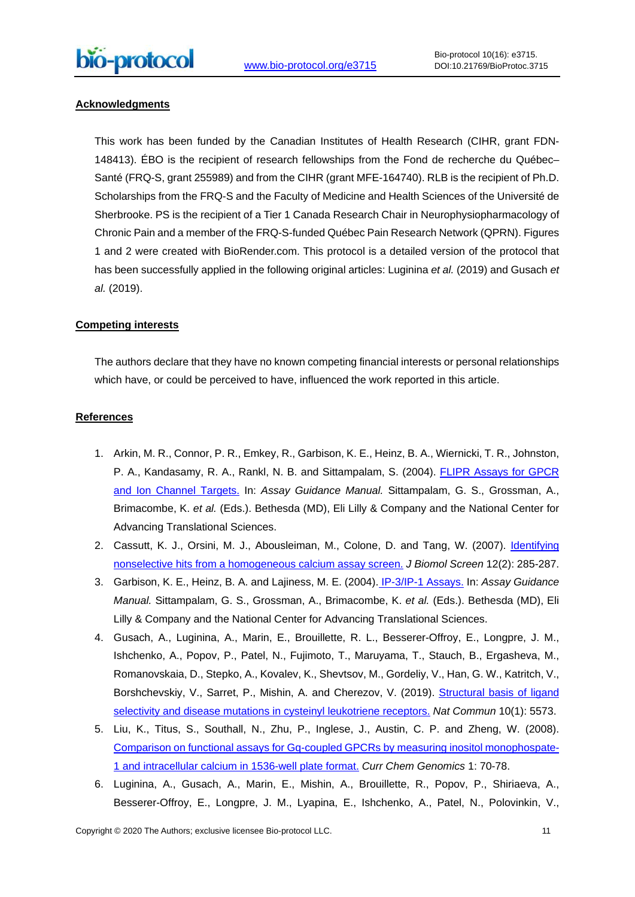## **Acknowledgments**

This work has been funded by the Canadian Institutes of Health Research (CIHR, grant FDN-148413). ÉBO is the recipient of research fellowships from the Fond de recherche du Québec– Santé (FRQ-S, grant 255989) and from the CIHR (grant MFE-164740). RLB is the recipient of Ph.D. Scholarships from the FRQ-S and the Faculty of Medicine and Health Sciences of the Université de Sherbrooke. PS is the recipient of a Tier 1 Canada Research Chair in Neurophysiopharmacology of Chronic Pain and a member of the FRQ-S-funded Québec Pain Research Network (QPRN). Figures 1 and 2 were created with BioRender.com. This protocol is a detailed version of the protocol that has been successfully applied in the following original articles: Luginina et al. (2019) and Gusach et al. (2019).

## **Competing interests**

The authors declare that they have no known competing financial interests or personal relationships which have, or could be perceived to have, influenced the work reported in this article.

#### **References**

- 1. Arkin, M. R., Connor, P. R., Emkey, R., Garbison, K. E., Heinz, B. A., Wiernicki, T. R., Johnston, P. A., Kandasamy, R. A., Rankl, N. B. and Sittampalam, S. (2004). [FLIPR Assays for GPCR](https://www.ncbi.nlm.nih.gov/books/NBK92012/)  [and Ion Channel Targets.](https://www.ncbi.nlm.nih.gov/books/NBK92012/) In: Assay Guidance Manual. Sittampalam, G. S., Grossman, A., Brimacombe, K. et al. (Eds.). Bethesda (MD), Eli Lilly & Company and the National Center for Advancing Translational Sciences.
- 2. Cassutt, K. J., Orsini, M. J., Abousleiman, M., Colone, D. and Tang, W. (2007). Identifying [nonselective hits from a homogeneous calcium assay screen.](https://www.ncbi.nlm.nih.gov/pubmed/17289936) J Biomol Screen 12(2): 285-287.
- 3. Garbison, K. E., Heinz, B. A. and Lajiness, M. E. (2004). [IP-3/IP-1 Assays.](https://www.ncbi.nlm.nih.gov/books/NBK92004/) In: Assay Guidance Manual. Sittampalam, G. S., Grossman, A., Brimacombe, K. et al. (Eds.). Bethesda (MD), Eli Lilly & Company and the National Center for Advancing Translational Sciences.
- 4. Gusach, A., Luginina, A., Marin, E., Brouillette, R. L., Besserer-Offroy, E., Longpre, J. M., Ishchenko, A., Popov, P., Patel, N., Fujimoto, T., Maruyama, T., Stauch, B., Ergasheva, M., Romanovskaia, D., Stepko, A., Kovalev, K., Shevtsov, M., Gordeliy, V., Han, G. W., Katritch, V., Borshchevskiy, V., Sarret, P., Mishin, A. and Cherezov, V. (2019). Structural basis of ligand [selectivity and disease mutations in cysteinyl leukotriene receptors.](https://www.ncbi.nlm.nih.gov/pubmed/31811124) Nat Commun 10(1): 5573.
- 5. Liu, K., Titus, S., Southall, N., Zhu, P., Inglese, J., Austin, C. P. and Zheng, W. (2008). [Comparison on functional assays for Gq-coupled GPCRs by measuring inositol monophospate-](https://www.ncbi.nlm.nih.gov/pubmed/20161830)[1 and intracellular calcium in 1536-well plate format.](https://www.ncbi.nlm.nih.gov/pubmed/20161830) Curr Chem Genomics 1: 70-78.
- 6. Luginina, A., Gusach, A., Marin, E., Mishin, A., Brouillette, R., Popov, P., Shiriaeva, A., Besserer-Offroy, E., Longpre, J. M., Lyapina, E., Ishchenko, A., Patel, N., Polovinkin, V.,